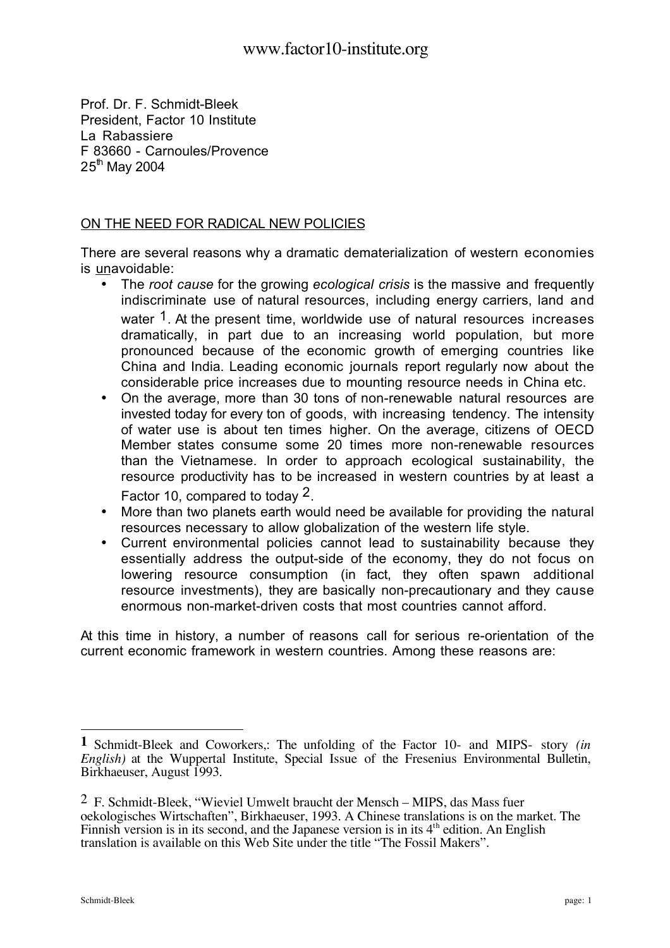Prof. Dr. F. Schmidt-Bleek President, Factor 10 Institute La Rabassiere F 83660 - Carnoules/Provence  $25<sup>th</sup>$  May 2004

## ON THE NEED FOR RADICAL NEW POLICIES

There are several reasons why a dramatic dematerialization of western economies is unavoidable:

- The *root cause* for the growing *ecological crisis* is the massive and frequently indiscriminate use of natural resources, including energy carriers, land and water <sup>1</sup>. At the present time, worldwide use of natural resources increases dramatically, in part due to an increasing world population, but more pronounced because of the economic growth of emerging countries like China and India. Leading economic journals report regularly now about the considerable price increases due to mounting resource needs in China etc.
- On the average, more than 30 tons of non-renewable natural resources are invested today for every ton of goods, with increasing tendency. The intensity of water use is about ten times higher. On the average, citizens of OECD Member states consume some 20 times more non-renewable resources than the Vietnamese. In order to approach ecological sustainability, the resource productivity has to be increased in western countries by at least a Factor 10, compared to today 2.
- More than two planets earth would need be available for providing the natural resources necessary to allow globalization of the western life style.
- Current environmental policies cannot lead to sustainability because they essentially address the output-side of the economy, they do not focus on lowering resource consumption (in fact, they often spawn additional resource investments), they are basically non-precautionary and they cause enormous non-market-driven costs that most countries cannot afford.

At this time in history, a number of reasons call for serious re-orientation of the current economic framework in western countries. Among these reasons are:

 $\overline{a}$ 

**<sup>1</sup>** Schmidt-Bleek and Coworkers,: The unfolding of the Factor 10- and MIPS- story *(in English*) at the Wuppertal Institute, Special Issue of the Fresenius Environmental Bulletin, Birkhaeuser, August 1993.

<sup>2</sup> F. Schmidt-Bleek, "Wieviel Umwelt braucht der Mensch – MIPS, das Mass fuer oekologisches Wirtschaften", Birkhaeuser, 1993. A Chinese translations is on the market. The Finnish version is in its second, and the Japanese version is in its  $4<sup>th</sup>$  edition. An English translation is available on this Web Site under the title "The Fossil Makers".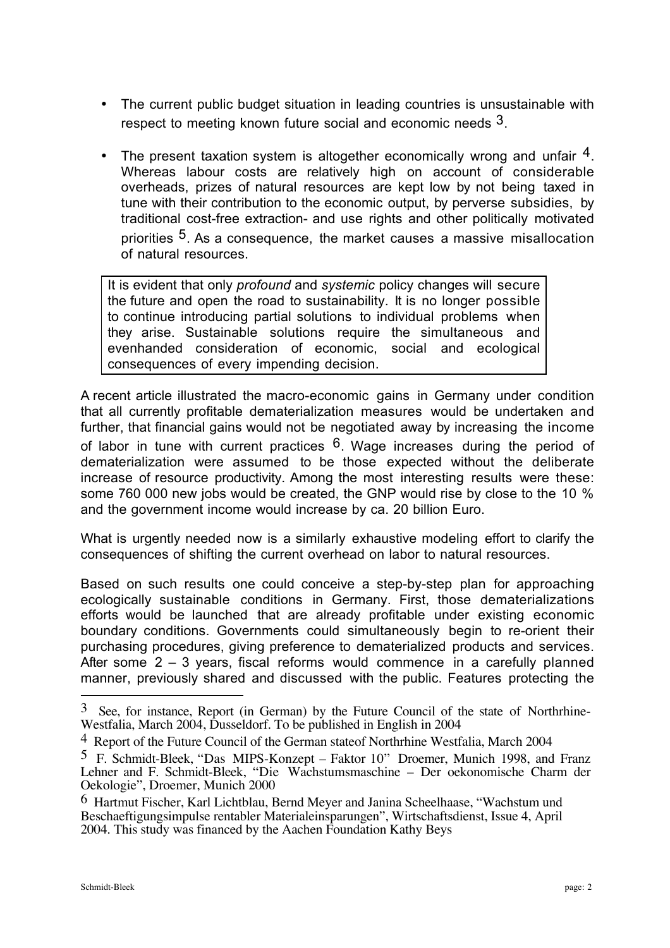- The current public budget situation in leading countries is unsustainable with respect to meeting known future social and economic needs 3.
- The present taxation system is altogether economically wrong and unfair 4. Whereas labour costs are relatively high on account of considerable overheads, prizes of natural resources are kept low by not being taxed in tune with their contribution to the economic output, by perverse subsidies, by traditional cost-free extraction- and use rights and other politically motivated priorities <sup>5</sup>. As a consequence, the market causes a massive misallocation of natural resources.

It is evident that only *profound* and *systemic* policy changes will secure the future and open the road to sustainability. It is no longer possible to continue introducing partial solutions to individual problems when they arise. Sustainable solutions require the simultaneous and evenhanded consideration of economic, social and ecological consequences of every impending decision.

A recent article illustrated the macro-economic gains in Germany under condition that all currently profitable dematerialization measures would be undertaken and further, that financial gains would not be negotiated away by increasing the income of labor in tune with current practices  $6$ . Wage increases during the period of dematerialization were assumed to be those expected without the deliberate increase of resource productivity. Among the most interesting results were these: some 760 000 new jobs would be created, the GNP would rise by close to the 10 % and the government income would increase by ca. 20 billion Euro.

What is urgently needed now is a similarly exhaustive modeling effort to clarify the consequences of shifting the current overhead on labor to natural resources.

Based on such results one could conceive a step-by-step plan for approaching ecologically sustainable conditions in Germany. First, those dematerializations efforts would be launched that are already profitable under existing economic boundary conditions. Governments could simultaneously begin to re-orient their purchasing procedures, giving preference to dematerialized products and services. After some 2 – 3 years, fiscal reforms would commence in a carefully planned manner, previously shared and discussed with the public. Features protecting the

 $\overline{a}$ 

 $3$  See, for instance, Report (in German) by the Future Council of the state of Northrhine-Westfalia, March 2004, Dusseldorf. To be published in English in 2004

<sup>4</sup> Report of the Future Council of the German stateof Northrhine Westfalia, March 2004

<sup>5</sup> F. Schmidt-Bleek, "Das MIPS-Konzept – Faktor 10" Droemer, Munich 1998, and Franz Lehner and F. Schmidt-Bleek, "Die Wachstumsmaschine – Der oekonomische Charm der Oekologie", Droemer, Munich 2000

<sup>6</sup> Hartmut Fischer, Karl Lichtblau, Bernd Meyer and Janina Scheelhaase, "Wachstum und Beschaeftigungsimpulse rentabler Materialeinsparungen", Wirtschaftsdienst, Issue 4, April 2004. This study was financed by the Aachen Foundation Kathy Beys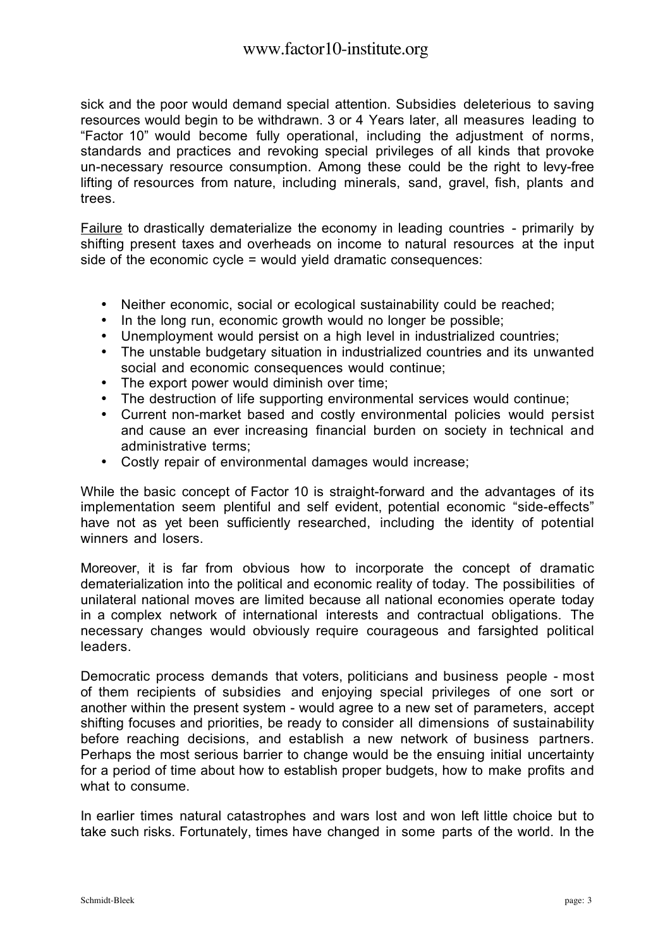sick and the poor would demand special attention. Subsidies deleterious to saving resources would begin to be withdrawn. 3 or 4 Years later, all measures leading to "Factor 10" would become fully operational, including the adjustment of norms, standards and practices and revoking special privileges of all kinds that provoke un-necessary resource consumption. Among these could be the right to levy-free lifting of resources from nature, including minerals, sand, gravel, fish, plants and trees.

Failure to drastically dematerialize the economy in leading countries - primarily by shifting present taxes and overheads on income to natural resources at the input side of the economic cycle = would yield dramatic consequences:

- Neither economic, social or ecological sustainability could be reached;
- In the long run, economic growth would no longer be possible;
- Unemployment would persist on a high level in industrialized countries;
- The unstable budgetary situation in industrialized countries and its unwanted social and economic consequences would continue;
- The export power would diminish over time;
- The destruction of life supporting environmental services would continue;
- Current non-market based and costly environmental policies would persist and cause an ever increasing financial burden on society in technical and administrative terms;
- Costly repair of environmental damages would increase;

While the basic concept of Factor 10 is straight-forward and the advantages of its implementation seem plentiful and self evident, potential economic "side-effects" have not as yet been sufficiently researched, including the identity of potential winners and losers.

Moreover, it is far from obvious how to incorporate the concept of dramatic dematerialization into the political and economic reality of today. The possibilities of unilateral national moves are limited because all national economies operate today in a complex network of international interests and contractual obligations. The necessary changes would obviously require courageous and farsighted political leaders.

Democratic process demands that voters, politicians and business people - most of them recipients of subsidies and enjoying special privileges of one sort or another within the present system - would agree to a new set of parameters, accept shifting focuses and priorities, be ready to consider all dimensions of sustainability before reaching decisions, and establish a new network of business partners. Perhaps the most serious barrier to change would be the ensuing initial uncertainty for a period of time about how to establish proper budgets, how to make profits and what to consume.

In earlier times natural catastrophes and wars lost and won left little choice but to take such risks. Fortunately, times have changed in some parts of the world. In the